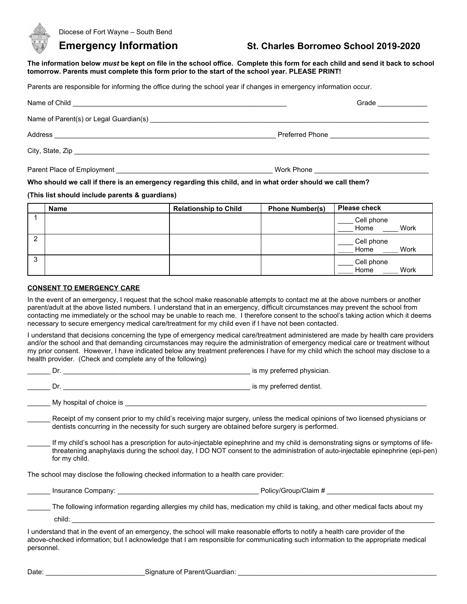

# **Emergency Information St. Charles Borromeo School 2019-2020**

**The information below** *must* **be kept on file in the school office. Complete this form for each child and send it back to school tomorrow. Parents must complete this form prior to the start of the school year. PLEASE PRINT!**

Parents are responsible for informing the office during the school year if changes in emergency information occur.

| Grade $\_$                                |
|-------------------------------------------|
|                                           |
|                                           |
|                                           |
| Work Phone ______________________________ |
|                                           |

### **Who should we call if there is an emergency regarding this child, and in what order should we call them?**

### **(This list should include parents & guardians)**

|                        | <b>Name</b> | <b>Relationship to Child</b> | <b>Phone Number(s)</b> | <b>Please check</b>        |
|------------------------|-------------|------------------------------|------------------------|----------------------------|
|                        |             |                              |                        | Cell phone<br>Work<br>Home |
| ົ                      |             |                              |                        | Cell phone<br>Work<br>Home |
| $\mathbf{\Omega}$<br>د |             |                              |                        | Cell phone<br>Work<br>Home |

### **CONSENT TO EMERGENCY CARE**

In the event of an emergency, I request that the school make reasonable attempts to contact me at the above numbers or another parent/adult at the above listed numbers. I understand that in an emergency, difficult circumstances may prevent the school from contacting me immediately or the school may be unable to reach me. I therefore consent to the school's taking action which it deems necessary to secure emergency medical care/treatment for my child even if I have not been contacted.

I understand that decisions concerning the type of emergency medical care/treatment administered are made by health care providers and/or the school and that demanding circumstances may require the administration of emergency medical care or treatment without my prior consent. However, I have indicated below any treatment preferences I have for my child which the school may disclose to a health provider. (Check and complete any of the following)

| Dr.                                                                                  | is my preferred physician.                                                                                                                                                                                                                                          |
|--------------------------------------------------------------------------------------|---------------------------------------------------------------------------------------------------------------------------------------------------------------------------------------------------------------------------------------------------------------------|
| Dr.                                                                                  | is my preferred dentist.                                                                                                                                                                                                                                            |
|                                                                                      |                                                                                                                                                                                                                                                                     |
|                                                                                      | Receipt of my consent prior to my child's receiving major surgery, unless the medical opinions of two licensed physicians or<br>dentists concurring in the necessity for such surgery are obtained before surgery is performed.                                     |
| for my child.                                                                        | If my child's school has a prescription for auto-injectable epinephrine and my child is demonstrating signs or symptoms of life-<br>threatening anaphylaxis during the school day, I DO NOT consent to the administration of auto-injectable epinephrine (epi-pen)  |
| The school may disclose the following checked information to a health care provider: |                                                                                                                                                                                                                                                                     |
|                                                                                      |                                                                                                                                                                                                                                                                     |
|                                                                                      | The following information regarding allergies my child has, medication my child is taking, and other medical facts about my                                                                                                                                         |
| personnel.                                                                           | I understand that in the event of an emergency, the school will make reasonable efforts to notify a health care provider of the<br>above-checked information; but I acknowledge that I am responsible for communicating such information to the appropriate medical |